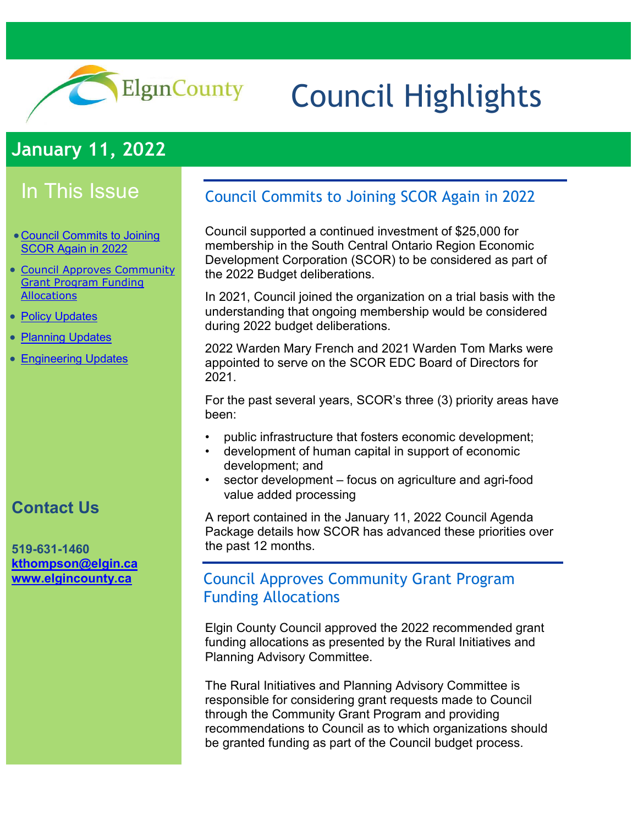

# Council Highlights

# **January 11, 2022**

# In This Issue

- [Council Commits to Joining](#page-0-0)  [SCOR Again in 2022](#page-0-0)
- [Council Approves Community](#page-0-1)  [Grant Program Funding](#page-0-1)  **[Allocations](#page-0-1)**
- [Policy Updates](#page-1-0)
- [Planning Updates](#page-3-0)
- **[Engineering Updates](#page-4-0)**

## **Contact Us**

#### **519-631-1460 [kthompson@elgin.ca](mailto:kthompson@elgin.ca) [www.elgincounty.ca](http://www.elgincounty.ca/)**

## <span id="page-0-0"></span>Council Commits to Joining SCOR Again in 2022

Council supported a continued investment of \$25,000 for membership in the South Central Ontario Region Economic Development Corporation (SCOR) to be considered as part of the 2022 Budget deliberations.

In 2021, Council joined the organization on a trial basis with the understanding that ongoing membership would be considered during 2022 budget deliberations.

2022 Warden Mary French and 2021 Warden Tom Marks were appointed to serve on the SCOR EDC Board of Directors for 2021.

For the past several years, SCOR's three (3) priority areas have been:

- public infrastructure that fosters economic development;
- development of human capital in support of economic development; and
- sector development focus on agriculture and agri-food value added processing

A report contained in the January 11, 2022 Council Agenda Package details how SCOR has advanced these priorities over the past 12 months.

### <span id="page-0-1"></span>Council Approves Community Grant Program Funding Allocations

Elgin County Council approved the 2022 recommended grant funding allocations as presented by the Rural Initiatives and Planning Advisory Committee.

The Rural Initiatives and Planning Advisory Committee is responsible for considering grant requests made to Council through the Community Grant Program and providing recommendations to Council as to which organizations should be granted funding as part of the Council budget process.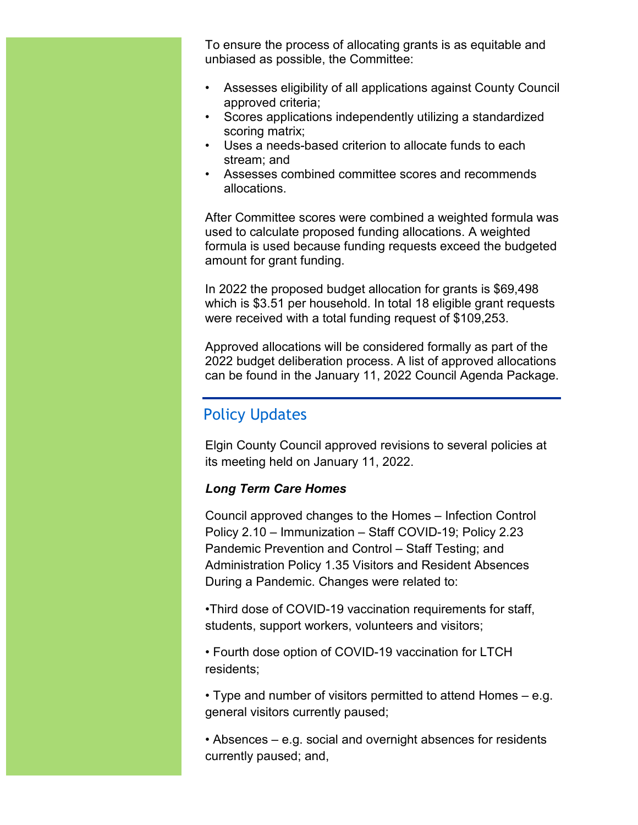To ensure the process of allocating grants is as equitable and unbiased as possible, the Committee:

- Assesses eligibility of all applications against County Council approved criteria;
- Scores applications independently utilizing a standardized scoring matrix;
- Uses a needs-based criterion to allocate funds to each stream; and
- Assesses combined committee scores and recommends allocations.

After Committee scores were combined a weighted formula was used to calculate proposed funding allocations. A weighted formula is used because funding requests exceed the budgeted amount for grant funding.

In 2022 the proposed budget allocation for grants is \$69,498 which is \$3.51 per household. In total 18 eligible grant requests were received with a total funding request of \$109,253.

Approved allocations will be considered formally as part of the 2022 budget deliberation process. A list of approved allocations can be found in the January 11, 2022 Council Agenda Package.

## <span id="page-1-0"></span>Policy Updates

Elgin County Council approved revisions to several policies at its meeting held on January 11, 2022.

#### *Long Term Care Homes*

Council approved changes to the Homes – Infection Control Policy 2.10 – Immunization – Staff COVID-19; Policy 2.23 Pandemic Prevention and Control – Staff Testing; and Administration Policy 1.35 Visitors and Resident Absences During a Pandemic. Changes were related to:

•Third dose of COVID-19 vaccination requirements for staff, students, support workers, volunteers and visitors;

• Fourth dose option of COVID-19 vaccination for LTCH residents;

• Type and number of visitors permitted to attend Homes – e.g. general visitors currently paused;

• Absences – e.g. social and overnight absences for residents currently paused; and,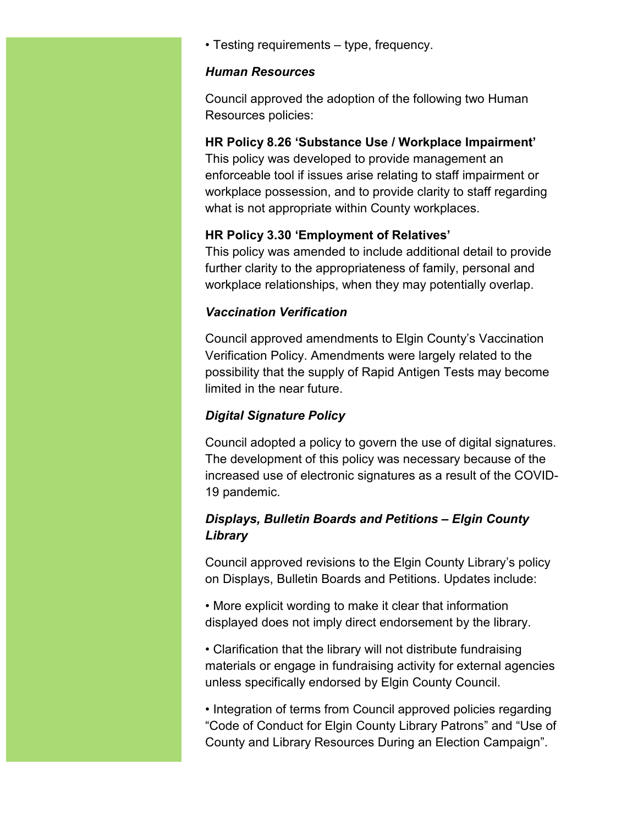• Testing requirements – type, frequency.

#### *Human Resources*

Council approved the adoption of the following two Human Resources policies:

#### **HR Policy 8.26 'Substance Use / Workplace Impairment'**

This policy was developed to provide management an enforceable tool if issues arise relating to staff impairment or workplace possession, and to provide clarity to staff regarding what is not appropriate within County workplaces.

#### **HR Policy 3.30 'Employment of Relatives'**

This policy was amended to include additional detail to provide further clarity to the appropriateness of family, personal and workplace relationships, when they may potentially overlap.

#### *Vaccination Verification*

Council approved amendments to Elgin County's Vaccination Verification Policy. Amendments were largely related to the possibility that the supply of Rapid Antigen Tests may become limited in the near future.

#### *Digital Signature Policy*

Council adopted a policy to govern the use of digital signatures. The development of this policy was necessary because of the increased use of electronic signatures as a result of the COVID-19 pandemic.

#### *Displays, Bulletin Boards and Petitions – Elgin County Library*

Council approved revisions to the Elgin County Library's policy on Displays, Bulletin Boards and Petitions. Updates include:

• More explicit wording to make it clear that information displayed does not imply direct endorsement by the library.

• Clarification that the library will not distribute fundraising materials or engage in fundraising activity for external agencies unless specifically endorsed by Elgin County Council.

• Integration of terms from Council approved policies regarding "Code of Conduct for Elgin County Library Patrons" and "Use of County and Library Resources During an Election Campaign".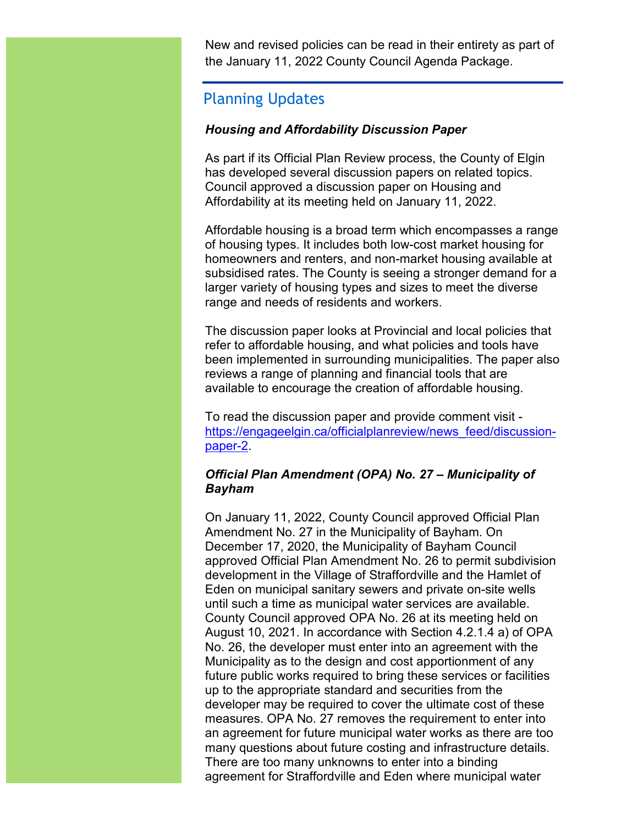New and revised policies can be read in their entirety as part of the January 11, 2022 County Council Agenda Package.

## <span id="page-3-0"></span>Planning Updates

#### *Housing and Affordability Discussion Paper*

As part if its Official Plan Review process, the County of Elgin has developed several discussion papers on related topics. Council approved a discussion paper on Housing and Affordability at its meeting held on January 11, 2022.

Affordable housing is a broad term which encompasses a range of housing types. It includes both low-cost market housing for homeowners and renters, and non-market housing available at subsidised rates. The County is seeing a stronger demand for a larger variety of housing types and sizes to meet the diverse range and needs of residents and workers.

The discussion paper looks at Provincial and local policies that refer to affordable housing, and what policies and tools have been implemented in surrounding municipalities. The paper also reviews a range of planning and financial tools that are available to encourage the creation of affordable housing.

To read the discussion paper and provide comment visit [https://engageelgin.ca/officialplanreview/news\\_feed/discussion](https://engageelgin.ca/officialplanreview/news_feed/discussion-paper-2)[paper-2.](https://engageelgin.ca/officialplanreview/news_feed/discussion-paper-2)

#### *Official Plan Amendment (OPA) No. 27 – Municipality of Bayham*

On January 11, 2022, County Council approved Official Plan Amendment No. 27 in the Municipality of Bayham. On December 17, 2020, the Municipality of Bayham Council approved Official Plan Amendment No. 26 to permit subdivision development in the Village of Straffordville and the Hamlet of Eden on municipal sanitary sewers and private on-site wells until such a time as municipal water services are available. County Council approved OPA No. 26 at its meeting held on August 10, 2021. In accordance with Section 4.2.1.4 a) of OPA No. 26, the developer must enter into an agreement with the Municipality as to the design and cost apportionment of any future public works required to bring these services or facilities up to the appropriate standard and securities from the developer may be required to cover the ultimate cost of these measures. OPA No. 27 removes the requirement to enter into an agreement for future municipal water works as there are too many questions about future costing and infrastructure details. There are too many unknowns to enter into a binding agreement for Straffordville and Eden where municipal water